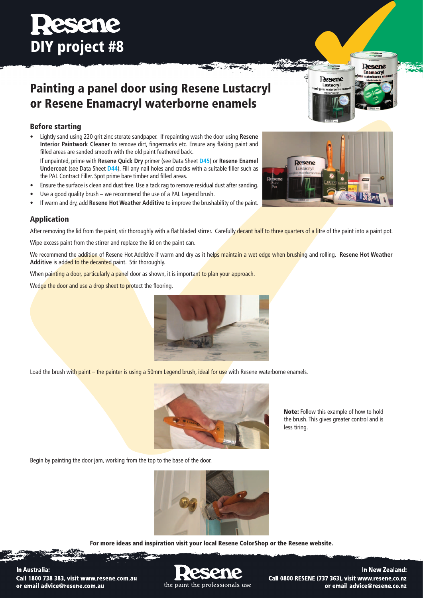# **Pesene** DIY project #8

### Painting a panel door using Resene Lustacryl or Resene Enamacryl waterborne enamels

#### Before starting

• Lightly sand using 220 grit zinc sterate sandpaper. If repainting wash the door using **Resene Interior Paintwork Cleaner** to remove dirt, fingermarks etc. Ensure any flaking paint and filled areas are sanded smooth with the old paint feathered back.

If unpainted, prime with **Resene Quick Dry** primer (see Data Sheet **[D45](http://www.resene.co.nz/archspec/datashts/d45_QuickDryPrimerUndercoat.pdf)**) or **Resene Enamel Undercoat** (see Data Sheet **[D44](http://www.resene.co.nz/archspec/datashts/d44_Enamel_Undercoat.pdf)**). Fill any nail holes and cracks with a suitable filler such as the PAL Contract Filler. Spot prime bare timber and filled areas.

- Ensure the surface is clean and dust free. Use a tack rag to remove residual dust after sanding.
- Use a good quality brush we recommend the use of a PAL Legend brush.
- If warm and dry, add Resene Hot Weather Additive to improve the brushability of the paint.

### Application

After removing the lid from the paint, stir thoroughly with a flat bladed stirrer. Carefully decant half to three quarters of a litre of the paint into a paint pot.

Wipe excess paint from the stirrer and replace the lid on the paint can.

We recommend the addition of Resene Hot Additive if warm and dry as it helps maintain a wet edge when brushing and rolling. **Resene Hot Weather Additive** is added to the decanted paint. Stir thoroughly.

When painting a door, particularly a panel door as shown, it is important to plan your approach.

Wedge the door and use a drop sheet to protect the flooring.



Load the brush with paint – the painter is using a 50mm Legend brush, ideal for use with Resene waterborne enamels.



Note: Follow this example of how to hold the brush. This gives greater control and is less tiring.

Begin by painting the door jam, working from the top to the base of the door.



For more ideas and inspiration visit your local Resene ColorShop or the Resene website.

**In Australia:** Call 1800 738 383, visit www.resene.com.au or email advice@resene.com.au

the paint the professionals use

In New Zealand: Call 0800 RESENE (737 363), visit www.resene.co.nz or email advice@resene.co.nz



**Resene** Lustacryl

Desene **Enamacryl**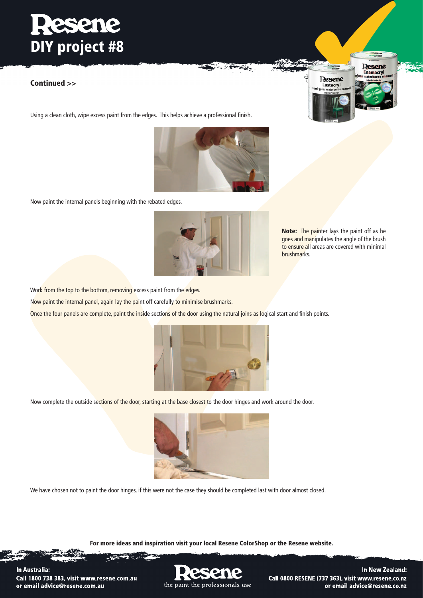# **Resent** DIY project #8

#### Continued >>

Using a clean cloth, wipe excess paint from the edges. This helps achieve a professional finish.



Now paint the internal panels beginning with the rebated edges.



Note: The painter lays the paint off as he goes and manipulates the angle of the brush to ensure all areas are covered with minimal brushmarks.

Work from the top to the bottom, removing excess paint from the edges.

Now paint the internal panel, again lay the paint off carefully to minimise brushmarks.

Once the four panels are complete, paint the inside sections of the door using the natural joins as logical start and finish points.



Now complete the outside sections of the door, starting at the base closest to the door hinges and work around the door.



We have chosen not to paint the door hinges, if this were not the case they should be completed last with door almost closed.

For more ideas and inspiration visit your local Resene ColorShop or the Resene website.

In Australia: Call 1800 738 383, visit www.resene.com.au or email advice@resene.com.au



In New Zealand: Call 0800 RESENE (737 363), visit www.resene.co.nz or email advice@resene.co.nz